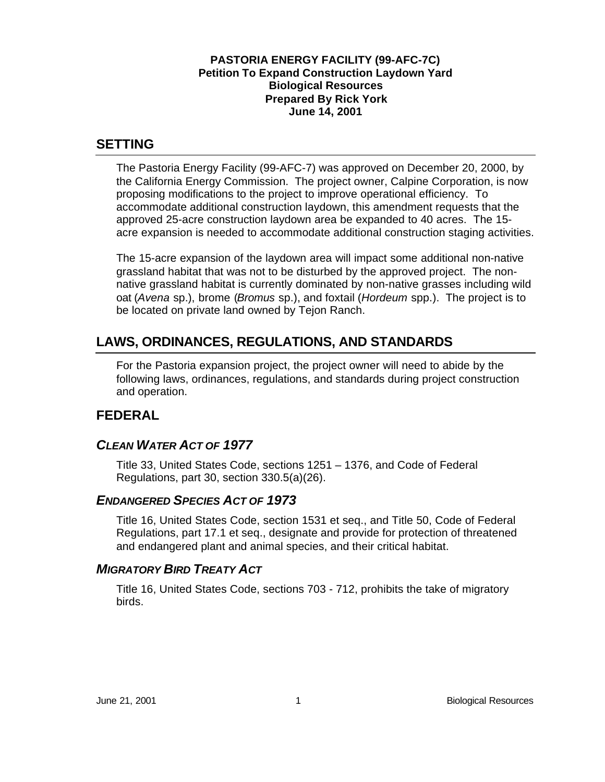#### **PASTORIA ENERGY FACILITY (99-AFC-7C) Petition To Expand Construction Laydown Yard Biological Resources Prepared By Rick York June 14, 2001**

## **SETTING**

The Pastoria Energy Facility (99-AFC-7) was approved on December 20, 2000, by the California Energy Commission. The project owner, Calpine Corporation, is now proposing modifications to the project to improve operational efficiency. To accommodate additional construction laydown, this amendment requests that the approved 25-acre construction laydown area be expanded to 40 acres. The 15 acre expansion is needed to accommodate additional construction staging activities.

The 15-acre expansion of the laydown area will impact some additional non-native grassland habitat that was not to be disturbed by the approved project. The nonnative grassland habitat is currently dominated by non-native grasses including wild oat (*Avena* sp.), brome (*Bromus* sp.), and foxtail (*Hordeum* spp.). The project is to be located on private land owned by Tejon Ranch.

# **LAWS, ORDINANCES, REGULATIONS, AND STANDARDS**

For the Pastoria expansion project, the project owner will need to abide by the following laws, ordinances, regulations, and standards during project construction and operation.

# **FEDERAL**

# *CLEAN WATER ACT OF 1977*

Title 33, United States Code, sections 1251 – 1376, and Code of Federal Regulations, part 30, section 330.5(a)(26).

### *ENDANGERED SPECIES ACT OF 1973*

Title 16, United States Code, section 1531 et seq., and Title 50, Code of Federal Regulations, part 17.1 et seq., designate and provide for protection of threatened and endangered plant and animal species, and their critical habitat.

# *MIGRATORY BIRD TREATY ACT*

Title 16, United States Code, sections 703 - 712, prohibits the take of migratory birds.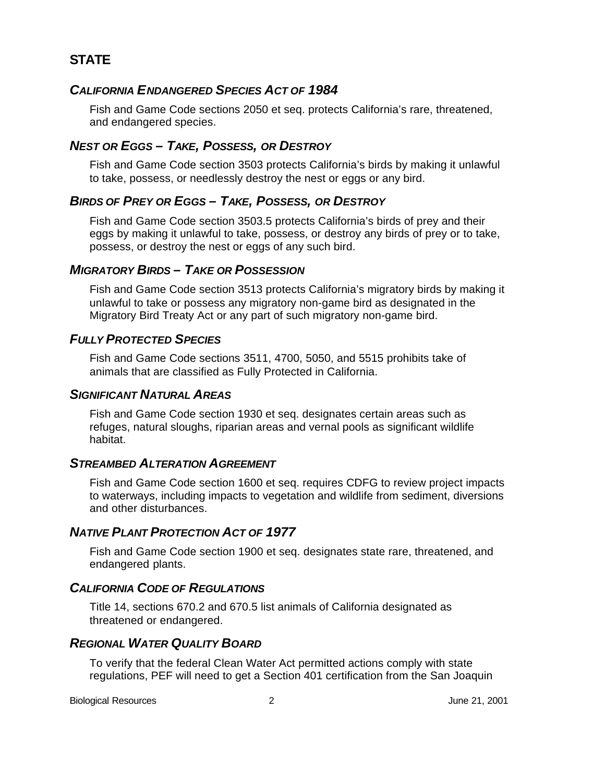# **STATE**

### *CALIFORNIA ENDANGERED SPECIES ACT OF 1984*

Fish and Game Code sections 2050 et seq. protects California's rare, threatened, and endangered species.

### *NEST OR EGGS – TAKE, POSSESS, OR DESTROY*

Fish and Game Code section 3503 protects California's birds by making it unlawful to take, possess, or needlessly destroy the nest or eggs or any bird.

### *BIRDS OF PREY OR EGGS – TAKE, POSSESS, OR DESTROY*

Fish and Game Code section 3503.5 protects California's birds of prey and their eggs by making it unlawful to take, possess, or destroy any birds of prey or to take, possess, or destroy the nest or eggs of any such bird.

### *MIGRATORY BIRDS – TAKE OR POSSESSION*

Fish and Game Code section 3513 protects California's migratory birds by making it unlawful to take or possess any migratory non-game bird as designated in the Migratory Bird Treaty Act or any part of such migratory non-game bird.

### *FULLY PROTECTED SPECIES*

Fish and Game Code sections 3511, 4700, 5050, and 5515 prohibits take of animals that are classified as Fully Protected in California.

#### *SIGNIFICANT NATURAL AREAS*

Fish and Game Code section 1930 et seq. designates certain areas such as refuges, natural sloughs, riparian areas and vernal pools as significant wildlife habitat.

#### *STREAMBED ALTERATION AGREEMENT*

Fish and Game Code section 1600 et seq. requires CDFG to review project impacts to waterways, including impacts to vegetation and wildlife from sediment, diversions and other disturbances.

#### *NATIVE PLANT PROTECTION ACT OF 1977*

Fish and Game Code section 1900 et seq. designates state rare, threatened, and endangered plants.

### *CALIFORNIA CODE OF REGULATIONS*

Title 14, sections 670.2 and 670.5 list animals of California designated as threatened or endangered.

### *REGIONAL WATER QUALITY BOARD*

To verify that the federal Clean Water Act permitted actions comply with state regulations, PEF will need to get a Section 401 certification from the San Joaquin

Biological Resources 2 June 21, 2001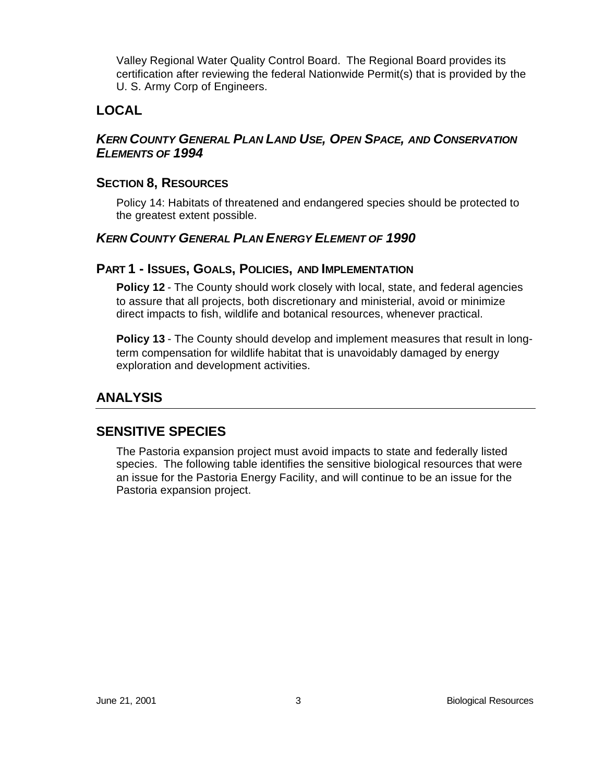Valley Regional Water Quality Control Board. The Regional Board provides its certification after reviewing the federal Nationwide Permit(s) that is provided by the U. S. Army Corp of Engineers.

# **LOCAL**

### *KERN COUNTY GENERAL PLAN LAND USE, OPEN SPACE, AND CONSERVATION ELEMENTS OF 1994*

### **SECTION 8, RESOURCES**

Policy 14: Habitats of threatened and endangered species should be protected to the greatest extent possible.

### *KERN COUNTY GENERAL PLAN ENERGY ELEMENT OF 1990*

### **PART 1 - ISSUES, GOALS, POLICIES, AND IMPLEMENTATION**

**Policy 12** - The County should work closely with local, state, and federal agencies to assure that all projects, both discretionary and ministerial, avoid or minimize direct impacts to fish, wildlife and botanical resources, whenever practical.

**Policy 13** - The County should develop and implement measures that result in longterm compensation for wildlife habitat that is unavoidably damaged by energy exploration and development activities.

# **ANALYSIS**

# **SENSITIVE SPECIES**

The Pastoria expansion project must avoid impacts to state and federally listed species. The following table identifies the sensitive biological resources that were an issue for the Pastoria Energy Facility, and will continue to be an issue for the Pastoria expansion project.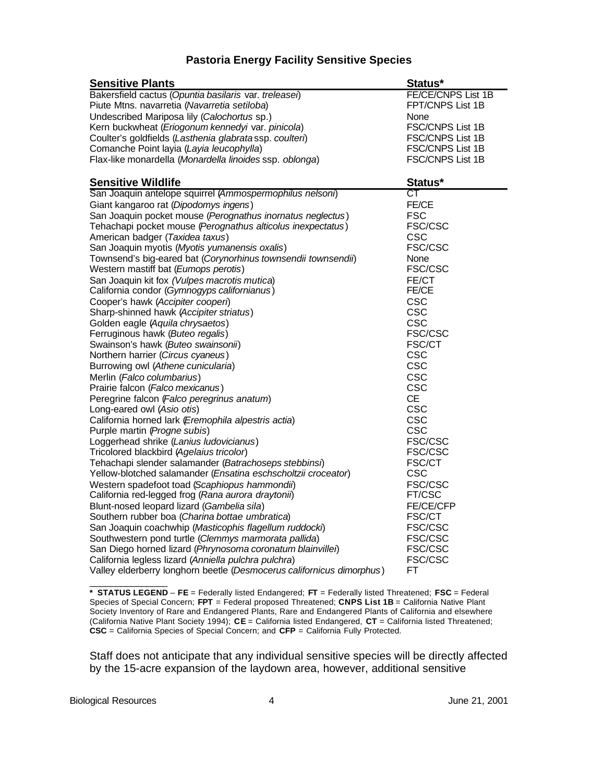#### **Pastoria Energy Facility Sensitive Species**

| <b>Sensitive Plants</b>                                                                                                | Status*                     |
|------------------------------------------------------------------------------------------------------------------------|-----------------------------|
| Bakersfield cactus (Opuntia basilaris var. treleasei)                                                                  | FE/CE/CNPS List 1B          |
| Piute Mtns. navarretia (Navarretia setiloba)                                                                           | FPT/CNPS List 1B            |
| Undescribed Mariposa lily (Calochortus sp.)                                                                            | None                        |
| Kern buckwheat (Eriogonum kennedyi var. pinicola)                                                                      | FSC/CNPS List 1B            |
| Coulter's goldfields (Lasthenia glabratassp. coulteri)                                                                 | <b>FSC/CNPS List 1B</b>     |
| Comanche Point layia (Layia leucophylla)                                                                               | <b>FSC/CNPS List 1B</b>     |
| Flax-like monardella (Monardella linoides ssp. oblonga)                                                                | FSC/CNPS List 1B            |
| <b>Sensitive Wildlife</b>                                                                                              | Status*                     |
| San Joaquin antelope squirrel (Ammospermophilus nelsoni)                                                               | СT                          |
| Giant kangaroo rat (Dipodomys ingens)                                                                                  | FE/CE                       |
| San Joaquin pocket mouse (Perognathus inornatus neglectus)                                                             | <b>FSC</b>                  |
| Tehachapi pocket mouse (Perognathus alticolus inexpectatus)                                                            | <b>FSC/CSC</b>              |
| American badger (Taxidea taxus)                                                                                        | CSC                         |
| San Joaquin myotis (Myotis yumanensis oxalis)                                                                          | <b>FSC/CSC</b>              |
| Townsend's big-eared bat (Corynorhinus townsendii townsendii)                                                          | None                        |
| Western mastiff bat (Eumops perotis)                                                                                   | FSC/CSC                     |
| San Joaquin kit fox (Vulpes macrotis mutica)                                                                           | FE/CT<br>FE/CE              |
| California condor (Gymnogyps californianus)<br>Cooper's hawk (Accipiter cooperi)                                       | <b>CSC</b>                  |
| Sharp-shinned hawk (Accipiter striatus)                                                                                | CSC                         |
| Golden eagle (Aquila chrysaetos)                                                                                       | <b>CSC</b>                  |
| Ferruginous hawk (Buteo regalis)                                                                                       | <b>FSC/CSC</b>              |
| Swainson's hawk (Buteo swainsonii)                                                                                     | <b>FSC/CT</b>               |
| Northern harrier (Circus cyaneus)                                                                                      | CSC                         |
| Burrowing owl (Athene cunicularia)                                                                                     | <b>CSC</b>                  |
| Merlin (Falco columbarius)                                                                                             | <b>CSC</b>                  |
| Prairie falcon (Falco mexicanus)                                                                                       | CSC                         |
| Peregrine falcon (Falco peregrinus anatum)                                                                             | СE                          |
| Long-eared owl (Asio otis)                                                                                             | <b>CSC</b>                  |
| California horned lark (Eremophila alpestris actia)                                                                    | <b>CSC</b>                  |
| Purple martin (Progne subis)                                                                                           | CSC                         |
| Loggerhead shrike (Lanius ludovicianus)                                                                                | FSC/CSC                     |
| Tricolored blackbird (Agelaius tricolor)                                                                               | <b>FSC/CSC</b>              |
| Tehachapi slender salamander (Batrachoseps stebbinsi)<br>Yellow-blotched salamander (Ensatina eschscholtzii croceator) | <b>FSC/CT</b><br><b>CSC</b> |
| Western spadefoot toad (Scaphiopus hammondii)                                                                          | <b>FSC/CSC</b>              |
| California red-legged frog (Rana aurora draytonii)                                                                     | FT/CSC                      |
| Blunt-nosed leopard lizard (Gambelia sila)                                                                             | <b>FE/CE/CFP</b>            |
| Southern rubber boa (Charina bottae umbratica)                                                                         | <b>FSC/CT</b>               |
| San Joaquin coachwhip (Masticophis flagellum ruddocki)                                                                 | <b>FSC/CSC</b>              |
| Southwestern pond turtle (Clemmys marmorata pallida)                                                                   | <b>FSC/CSC</b>              |
| San Diego horned lizard (Phrynosoma coronatum blainvillei)                                                             | <b>FSC/CSC</b>              |
| California legless lizard (Anniella pulchra pulchra)                                                                   | <b>FSC/CSC</b>              |
| Valley elderberry longhorn beetle (Desmocerus californicus dimorphus)                                                  | FT                          |
|                                                                                                                        |                             |

**\* STATUS LEGEND** – **FE** = Federally listed Endangered; **FT** = Federally listed Threatened; **FSC** = Federal Species of Special Concern; **FPT** = Federal proposed Threatened; **CNPS List 1B** = California Native Plant Society Inventory of Rare and Endangered Plants, Rare and Endangered Plants of California and elsewhere (California Native Plant Society 1994); **CE** = California listed Endangered, **CT** = California listed Threatened; **CSC** = California Species of Special Concern; and **CFP** = California Fully Protected.

Staff does not anticipate that any individual sensitive species will be directly affected by the 15-acre expansion of the laydown area, however, additional sensitive

Biological Resources 4 June 21, 2001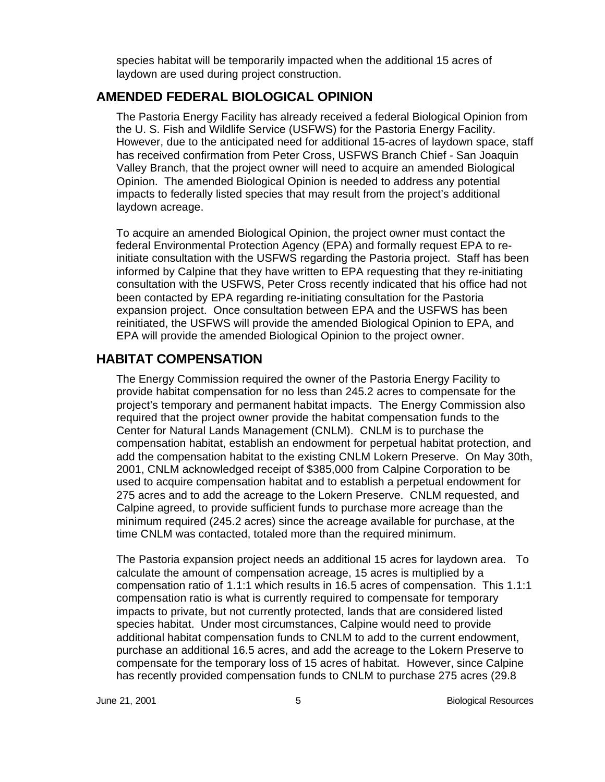species habitat will be temporarily impacted when the additional 15 acres of laydown are used during project construction.

# **AMENDED FEDERAL BIOLOGICAL OPINION**

The Pastoria Energy Facility has already received a federal Biological Opinion from the U. S. Fish and Wildlife Service (USFWS) for the Pastoria Energy Facility. However, due to the anticipated need for additional 15-acres of laydown space, staff has received confirmation from Peter Cross, USFWS Branch Chief - San Joaquin Valley Branch, that the project owner will need to acquire an amended Biological Opinion. The amended Biological Opinion is needed to address any potential impacts to federally listed species that may result from the project's additional laydown acreage.

To acquire an amended Biological Opinion, the project owner must contact the federal Environmental Protection Agency (EPA) and formally request EPA to reinitiate consultation with the USFWS regarding the Pastoria project. Staff has been informed by Calpine that they have written to EPA requesting that they re-initiating consultation with the USFWS, Peter Cross recently indicated that his office had not been contacted by EPA regarding re-initiating consultation for the Pastoria expansion project. Once consultation between EPA and the USFWS has been reinitiated, the USFWS will provide the amended Biological Opinion to EPA, and EPA will provide the amended Biological Opinion to the project owner.

### **HABITAT COMPENSATION**

The Energy Commission required the owner of the Pastoria Energy Facility to provide habitat compensation for no less than 245.2 acres to compensate for the project's temporary and permanent habitat impacts. The Energy Commission also required that the project owner provide the habitat compensation funds to the Center for Natural Lands Management (CNLM). CNLM is to purchase the compensation habitat, establish an endowment for perpetual habitat protection, and add the compensation habitat to the existing CNLM Lokern Preserve. On May 30th, 2001, CNLM acknowledged receipt of \$385,000 from Calpine Corporation to be used to acquire compensation habitat and to establish a perpetual endowment for 275 acres and to add the acreage to the Lokern Preserve. CNLM requested, and Calpine agreed, to provide sufficient funds to purchase more acreage than the minimum required (245.2 acres) since the acreage available for purchase, at the time CNLM was contacted, totaled more than the required minimum.

The Pastoria expansion project needs an additional 15 acres for laydown area. To calculate the amount of compensation acreage, 15 acres is multiplied by a compensation ratio of 1.1:1 which results in 16.5 acres of compensation. This 1.1:1 compensation ratio is what is currently required to compensate for temporary impacts to private, but not currently protected, lands that are considered listed species habitat. Under most circumstances, Calpine would need to provide additional habitat compensation funds to CNLM to add to the current endowment, purchase an additional 16.5 acres, and add the acreage to the Lokern Preserve to compensate for the temporary loss of 15 acres of habitat. However, since Calpine has recently provided compensation funds to CNLM to purchase 275 acres (29.8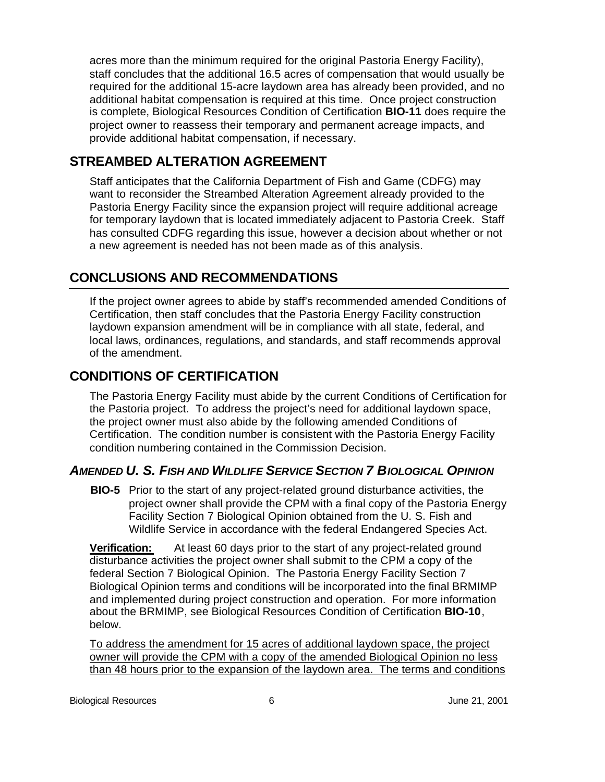acres more than the minimum required for the original Pastoria Energy Facility), staff concludes that the additional 16.5 acres of compensation that would usually be required for the additional 15-acre laydown area has already been provided, and no additional habitat compensation is required at this time. Once project construction is complete, Biological Resources Condition of Certification **BIO-11** does require the project owner to reassess their temporary and permanent acreage impacts, and provide additional habitat compensation, if necessary.

# **STREAMBED ALTERATION AGREEMENT**

Staff anticipates that the California Department of Fish and Game (CDFG) may want to reconsider the Streambed Alteration Agreement already provided to the Pastoria Energy Facility since the expansion project will require additional acreage for temporary laydown that is located immediately adjacent to Pastoria Creek. Staff has consulted CDFG regarding this issue, however a decision about whether or not a new agreement is needed has not been made as of this analysis.

# **CONCLUSIONS AND RECOMMENDATIONS**

If the project owner agrees to abide by staff's recommended amended Conditions of Certification, then staff concludes that the Pastoria Energy Facility construction laydown expansion amendment will be in compliance with all state, federal, and local laws, ordinances, regulations, and standards, and staff recommends approval of the amendment.

# **CONDITIONS OF CERTIFICATION**

The Pastoria Energy Facility must abide by the current Conditions of Certification for the Pastoria project. To address the project's need for additional laydown space, the project owner must also abide by the following amended Conditions of Certification. The condition number is consistent with the Pastoria Energy Facility condition numbering contained in the Commission Decision.

# *AMENDED U. S. FISH AND WILDLIFE SERVICE SECTION 7 BIOLOGICAL OPINION*

**BIO-5** Prior to the start of any project-related ground disturbance activities, the project owner shall provide the CPM with a final copy of the Pastoria Energy Facility Section 7 Biological Opinion obtained from the U. S. Fish and Wildlife Service in accordance with the federal Endangered Species Act.

**Verification:** At least 60 days prior to the start of any project-related ground disturbance activities the project owner shall submit to the CPM a copy of the federal Section 7 Biological Opinion. The Pastoria Energy Facility Section 7 Biological Opinion terms and conditions will be incorporated into the final BRMIMP and implemented during project construction and operation. For more information about the BRMIMP, see Biological Resources Condition of Certification **BIO-10**, below.

To address the amendment for 15 acres of additional laydown space, the project owner will provide the CPM with a copy of the amended Biological Opinion no less than 48 hours prior to the expansion of the laydown area. The terms and conditions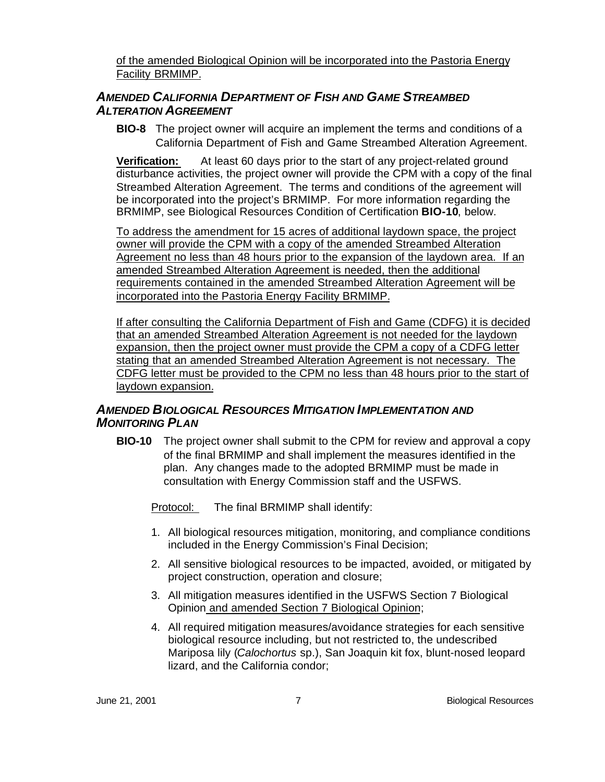of the amended Biological Opinion will be incorporated into the Pastoria Energy Facility BRMIMP.

### *AMENDED CALIFORNIA DEPARTMENT OF FISH AND GAME STREAMBED ALTERATION AGREEMENT*

**BIO-8** The project owner will acquire an implement the terms and conditions of a California Department of Fish and Game Streambed Alteration Agreement.

**Verification:** At least 60 days prior to the start of any project-related ground disturbance activities, the project owner will provide the CPM with a copy of the final Streambed Alteration Agreement. The terms and conditions of the agreement will be incorporated into the project's BRMIMP. For more information regarding the BRMIMP, see Biological Resources Condition of Certification **BIO-10**, below.

To address the amendment for 15 acres of additional laydown space, the project owner will provide the CPM with a copy of the amended Streambed Alteration Agreement no less than 48 hours prior to the expansion of the laydown area. If an amended Streambed Alteration Agreement is needed, then the additional requirements contained in the amended Streambed Alteration Agreement will be incorporated into the Pastoria Energy Facility BRMIMP.

If after consulting the California Department of Fish and Game (CDFG) it is decided that an amended Streambed Alteration Agreement is not needed for the laydown expansion, then the project owner must provide the CPM a copy of a CDFG letter stating that an amended Streambed Alteration Agreement is not necessary. The CDFG letter must be provided to the CPM no less than 48 hours prior to the start of laydown expansion.

### *AMENDED BIOLOGICAL RESOURCES MITIGATION IMPLEMENTATION AND MONITORING PLAN*

**BIO-10** The project owner shall submit to the CPM for review and approval a copy of the final BRMIMP and shall implement the measures identified in the plan. Any changes made to the adopted BRMIMP must be made in consultation with Energy Commission staff and the USFWS.

Protocol: The final BRMIMP shall identify:

- 1. All biological resources mitigation, monitoring, and compliance conditions included in the Energy Commission's Final Decision;
- 2. All sensitive biological resources to be impacted, avoided, or mitigated by project construction, operation and closure;
- 3. All mitigation measures identified in the USFWS Section 7 Biological Opinion and amended Section 7 Biological Opinion;
- 4. All required mitigation measures/avoidance strategies for each sensitive biological resource including, but not restricted to, the undescribed Mariposa lily (*Calochortus* sp.), San Joaquin kit fox, blunt-nosed leopard lizard, and the California condor;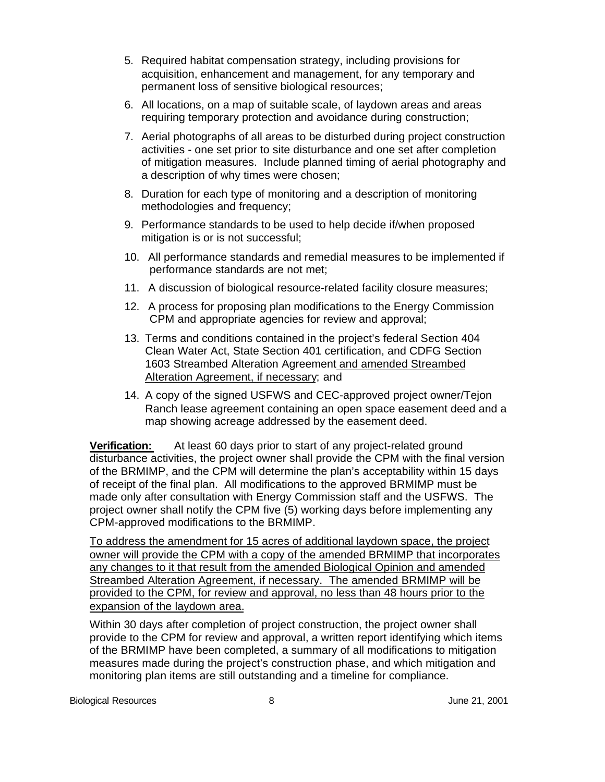- 5. Required habitat compensation strategy, including provisions for acquisition, enhancement and management, for any temporary and permanent loss of sensitive biological resources;
- 6. All locations, on a map of suitable scale, of laydown areas and areas requiring temporary protection and avoidance during construction;
- 7. Aerial photographs of all areas to be disturbed during project construction activities - one set prior to site disturbance and one set after completion of mitigation measures. Include planned timing of aerial photography and a description of why times were chosen;
- 8. Duration for each type of monitoring and a description of monitoring methodologies and frequency;
- 9. Performance standards to be used to help decide if/when proposed mitigation is or is not successful;
- 10. All performance standards and remedial measures to be implemented if performance standards are not met;
- 11. A discussion of biological resource-related facility closure measures;
- 12. A process for proposing plan modifications to the Energy Commission CPM and appropriate agencies for review and approval;
- 13. Terms and conditions contained in the project's federal Section 404 Clean Water Act, State Section 401 certification, and CDFG Section 1603 Streambed Alteration Agreement and amended Streambed Alteration Agreement, if necessary; and
- 14. A copy of the signed USFWS and CEC-approved project owner/Tejon Ranch lease agreement containing an open space easement deed and a map showing acreage addressed by the easement deed.

**Verification:** At least 60 days prior to start of any project-related ground disturbance activities, the project owner shall provide the CPM with the final version of the BRMIMP, and the CPM will determine the plan's acceptability within 15 days of receipt of the final plan. All modifications to the approved BRMIMP must be made only after consultation with Energy Commission staff and the USFWS. The project owner shall notify the CPM five (5) working days before implementing any CPM-approved modifications to the BRMIMP.

To address the amendment for 15 acres of additional laydown space, the project owner will provide the CPM with a copy of the amended BRMIMP that incorporates any changes to it that result from the amended Biological Opinion and amended Streambed Alteration Agreement, if necessary. The amended BRMIMP will be provided to the CPM, for review and approval, no less than 48 hours prior to the expansion of the laydown area.

Within 30 days after completion of project construction, the project owner shall provide to the CPM for review and approval, a written report identifying which items of the BRMIMP have been completed, a summary of all modifications to mitigation measures made during the project's construction phase, and which mitigation and monitoring plan items are still outstanding and a timeline for compliance.

Biological Resources and the set of the set of the set of the set of the set of the set of the set of the set of the set of the set of the set of the set of the set of the set of the set of the set of the set of the set of